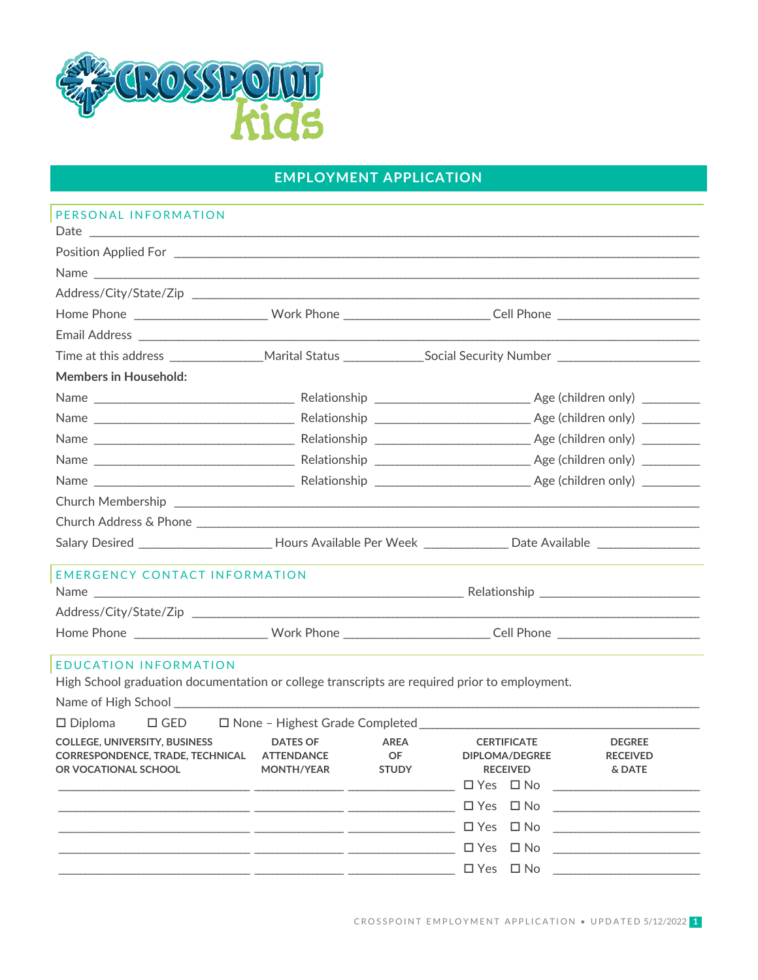

## **EMPLOYMENT APPLICATION**

| PERSONAL INFORMATION                                                                                                                                                                                                                                                                                                                                           |                                                                                                                                                                                             |                                                                                                                                                                                                                                                                                                                                                                                                                                       |
|----------------------------------------------------------------------------------------------------------------------------------------------------------------------------------------------------------------------------------------------------------------------------------------------------------------------------------------------------------------|---------------------------------------------------------------------------------------------------------------------------------------------------------------------------------------------|---------------------------------------------------------------------------------------------------------------------------------------------------------------------------------------------------------------------------------------------------------------------------------------------------------------------------------------------------------------------------------------------------------------------------------------|
|                                                                                                                                                                                                                                                                                                                                                                |                                                                                                                                                                                             |                                                                                                                                                                                                                                                                                                                                                                                                                                       |
|                                                                                                                                                                                                                                                                                                                                                                |                                                                                                                                                                                             | Name                                                                                                                                                                                                                                                                                                                                                                                                                                  |
|                                                                                                                                                                                                                                                                                                                                                                |                                                                                                                                                                                             |                                                                                                                                                                                                                                                                                                                                                                                                                                       |
|                                                                                                                                                                                                                                                                                                                                                                |                                                                                                                                                                                             |                                                                                                                                                                                                                                                                                                                                                                                                                                       |
|                                                                                                                                                                                                                                                                                                                                                                |                                                                                                                                                                                             |                                                                                                                                                                                                                                                                                                                                                                                                                                       |
|                                                                                                                                                                                                                                                                                                                                                                |                                                                                                                                                                                             |                                                                                                                                                                                                                                                                                                                                                                                                                                       |
| <b>Members in Household:</b>                                                                                                                                                                                                                                                                                                                                   |                                                                                                                                                                                             |                                                                                                                                                                                                                                                                                                                                                                                                                                       |
|                                                                                                                                                                                                                                                                                                                                                                |                                                                                                                                                                                             |                                                                                                                                                                                                                                                                                                                                                                                                                                       |
|                                                                                                                                                                                                                                                                                                                                                                |                                                                                                                                                                                             |                                                                                                                                                                                                                                                                                                                                                                                                                                       |
|                                                                                                                                                                                                                                                                                                                                                                |                                                                                                                                                                                             |                                                                                                                                                                                                                                                                                                                                                                                                                                       |
|                                                                                                                                                                                                                                                                                                                                                                |                                                                                                                                                                                             |                                                                                                                                                                                                                                                                                                                                                                                                                                       |
|                                                                                                                                                                                                                                                                                                                                                                |                                                                                                                                                                                             |                                                                                                                                                                                                                                                                                                                                                                                                                                       |
|                                                                                                                                                                                                                                                                                                                                                                |                                                                                                                                                                                             |                                                                                                                                                                                                                                                                                                                                                                                                                                       |
|                                                                                                                                                                                                                                                                                                                                                                |                                                                                                                                                                                             |                                                                                                                                                                                                                                                                                                                                                                                                                                       |
|                                                                                                                                                                                                                                                                                                                                                                |                                                                                                                                                                                             | Salary Desired _________________________Hours Available Per Week ________________ Date Available _____________                                                                                                                                                                                                                                                                                                                        |
| <b>EMERGENCY CONTACT INFORMATION</b>                                                                                                                                                                                                                                                                                                                           |                                                                                                                                                                                             |                                                                                                                                                                                                                                                                                                                                                                                                                                       |
|                                                                                                                                                                                                                                                                                                                                                                |                                                                                                                                                                                             |                                                                                                                                                                                                                                                                                                                                                                                                                                       |
|                                                                                                                                                                                                                                                                                                                                                                |                                                                                                                                                                                             | Home Phone ____________________________Work Phone __________________________Cell Phone _______________________                                                                                                                                                                                                                                                                                                                        |
| <b>EDUCATION INFORMATION</b><br>High School graduation documentation or college transcripts are required prior to employment.<br>Name of High School League and Contract and Contract and Contract and Contract and Contract and Contract and Contract and Contract and Contract and Contract and Contract and Contract and Contract and Contract and Contract |                                                                                                                                                                                             |                                                                                                                                                                                                                                                                                                                                                                                                                                       |
|                                                                                                                                                                                                                                                                                                                                                                |                                                                                                                                                                                             | □ Diploma □ GED □ None - Highest Grade Completed _______________________________                                                                                                                                                                                                                                                                                                                                                      |
| <b>COLLEGE, UNIVERSITY, BUSINESS</b><br>CORRESPONDENCE, TRADE, TECHNICAL ATTENDANCE<br>OR VOCATIONAL SCHOOL                                                                                                                                                                                                                                                    | <b>DATES OF</b><br><b>AREA</b><br>OF.<br>MONTH/YEAR<br><b>STUDY</b><br><u> Alexandria de la contrada de la contrada de la contrada de la contrada de la contrada de la contrada de la c</u> | <b>CERTIFICATE</b><br><b>DEGREE</b><br>DIPLOMA/DEGREE<br><b>RECEIVED</b><br><b>RECEIVED</b><br>& DATE<br>$\square$ Yes $\square$ No $\square$<br>$\Box$ Yes $\Box$ No<br>$\Box$ Yes $\Box$ No<br><u> The Communication of the Communication of the Communication of the Communication of the Communication of the Communication of the Communication of the Communication of the Communication of the Communication of the Commun</u> |
|                                                                                                                                                                                                                                                                                                                                                                |                                                                                                                                                                                             | $\Box$ Yes $\Box$ No<br>the contract of the contract of the contract of the                                                                                                                                                                                                                                                                                                                                                           |
|                                                                                                                                                                                                                                                                                                                                                                |                                                                                                                                                                                             |                                                                                                                                                                                                                                                                                                                                                                                                                                       |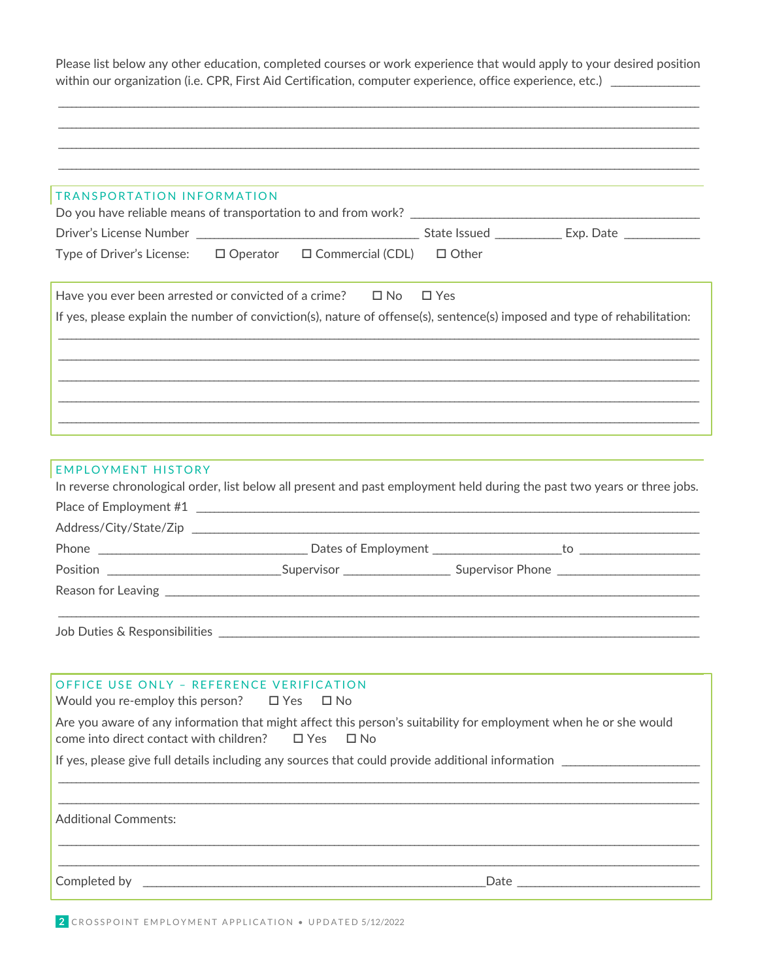Please list below any other education, completed courses or work experience that would apply to your desired position within our organization (i.e. CPR, First Aid Certification, computer experience, office experience, etc.) \_\_\_\_\_\_\_\_\_\_\_\_

| TRANSPORTATION INFORMATION                                                                                                                                  |                                                            |              |                                                                                   |  |
|-------------------------------------------------------------------------------------------------------------------------------------------------------------|------------------------------------------------------------|--------------|-----------------------------------------------------------------------------------|--|
|                                                                                                                                                             |                                                            |              |                                                                                   |  |
| Type of Driver's License: □ Operator □ Commercial (CDL)                                                                                                     |                                                            | $\Box$ Other |                                                                                   |  |
| Have you ever been arrested or convicted of a crime? $\Box$ No $\Box$ Yes                                                                                   |                                                            |              |                                                                                   |  |
| If yes, please explain the number of conviction(s), nature of offense(s), sentence(s) imposed and type of rehabilitation:                                   |                                                            |              |                                                                                   |  |
|                                                                                                                                                             |                                                            |              |                                                                                   |  |
|                                                                                                                                                             |                                                            |              |                                                                                   |  |
|                                                                                                                                                             |                                                            |              |                                                                                   |  |
|                                                                                                                                                             |                                                            |              |                                                                                   |  |
| <b>EMPLOYMENT HISTORY</b><br>In reverse chronological order, list below all present and past employment held during the past two years or three jobs.       |                                                            |              |                                                                                   |  |
| Place of Employment #1                                                                                                                                      |                                                            |              |                                                                                   |  |
|                                                                                                                                                             |                                                            |              |                                                                                   |  |
|                                                                                                                                                             |                                                            |              |                                                                                   |  |
|                                                                                                                                                             |                                                            |              |                                                                                   |  |
|                                                                                                                                                             |                                                            |              |                                                                                   |  |
|                                                                                                                                                             |                                                            |              |                                                                                   |  |
|                                                                                                                                                             |                                                            |              |                                                                                   |  |
| OFFICE USE ONLY - REFERENCE VERIFICATION<br>Would you re-employ this person? $\Box$ Yes                                                                     | $\square$ No                                               |              |                                                                                   |  |
| Are you aware of any information that might affect this person's suitability for employment when he or she would<br>come into direct contact with children? | $\Box$ Yes<br>$\Box$ No                                    |              |                                                                                   |  |
| If yes, please give full details including any sources that could provide additional information                                                            |                                                            |              |                                                                                   |  |
|                                                                                                                                                             |                                                            |              | ,我们也不能在这里的人,我们也不能在这里的人,我们也不能在这里的人,我们也不能在这里的人,我们也不能在这里的人,我们也不能在这里的人,我们也不能在这里的人,我们也 |  |
| <b>Additional Comments:</b>                                                                                                                                 |                                                            |              |                                                                                   |  |
|                                                                                                                                                             |                                                            |              |                                                                                   |  |
|                                                                                                                                                             | <u> 1989 - Johann Barn, amerikansk politiker (d. 1989)</u> |              |                                                                                   |  |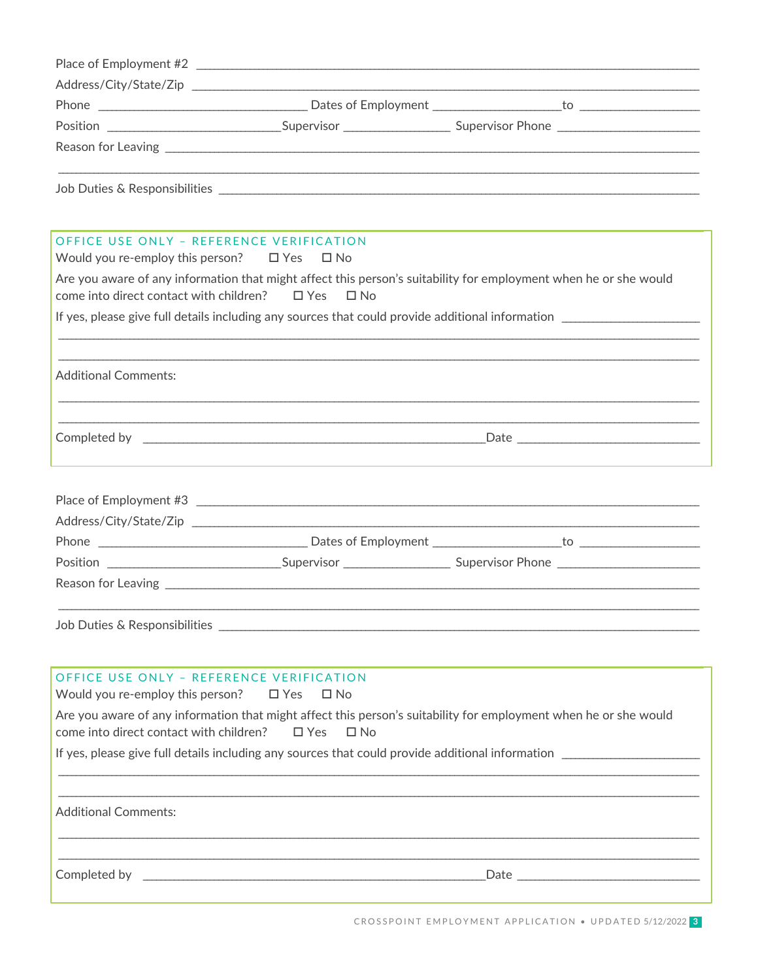|                                                                                                   | Position ___________________________________Supervisor _________________________Supervisor Phone ___________________ |
|---------------------------------------------------------------------------------------------------|----------------------------------------------------------------------------------------------------------------------|
|                                                                                                   |                                                                                                                      |
|                                                                                                   |                                                                                                                      |
|                                                                                                   |                                                                                                                      |
|                                                                                                   |                                                                                                                      |
|                                                                                                   |                                                                                                                      |
|                                                                                                   |                                                                                                                      |
|                                                                                                   |                                                                                                                      |
| OFFICE USE ONLY - REFERENCE VERIFICATION<br>Would you re-employ this person? $\Box$ Yes $\Box$ No |                                                                                                                      |
|                                                                                                   | Are you aware of any information that might affect this person's suitability for employment when he or she would     |
| come into direct contact with children? $\Box$ Yes $\Box$ No                                      |                                                                                                                      |
|                                                                                                   |                                                                                                                      |
|                                                                                                   | If yes, please give full details including any sources that could provide additional information                     |

| Completed by |  |  |  |
|--------------|--|--|--|
|--------------|--|--|--|

| Place of Employment #3            | <u> 1980 - Jan Barbara, martin da kasar Amerikaan a</u> |                                             |  |
|-----------------------------------|---------------------------------------------------------|---------------------------------------------|--|
|                                   |                                                         |                                             |  |
|                                   |                                                         | Dates of Employment <b>Example 20</b><br>to |  |
| Position ________________________ | <b>Supervisor Supervisor</b>                            | Supervisor Phone ___________________        |  |
|                                   |                                                         |                                             |  |

## OFFICE USE ONLY - REFERENCE VERIFICATION

Would you re-employ this person?  $\Box$  Yes  $\Box$  No

Are you aware of any information that might affect this person's suitability for employment when he or she would come into direct contact with children?  $\Box$  Yes  $\Box$  No

If yes, please give full details including any sources that could provide additional information

**Additional Comments:** 

the control of the control of the control of the